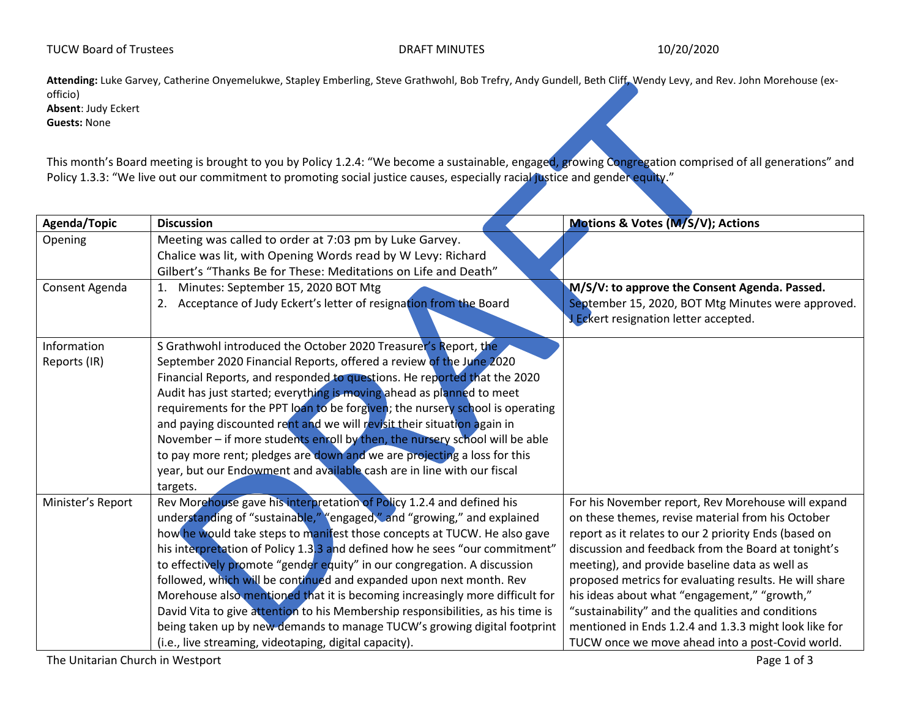**Attending:** Luke Garvey, Catherine Onyemelukwe, Stapley Emberling, Steve Grathwohl, Bob Trefry, Andy Gundell, Beth Cliff, Wendy Levy, and Rev. John Morehouse (exofficio) **Absent**: Judy Eckert

**Guests:** None

This month's Board meeting is brought to you by Policy 1.2.4: "We become a sustainable, engaged, growing Congregation comprised of all generations" and Policy 1.3.3: "We live out our commitment to promoting social justice causes, especially racial justice and gender equity."

| Agenda/Topic                | <b>Discussion</b>                                                                                                                                                                                                                                                                                                                                                                                                                                                                                                                                                                                                                                                                                                                                                       | Motions & Votes (M/S/V); Actions                                                                                                                                                                                                                                                                                                                                                                                                                                                                                                                      |
|-----------------------------|-------------------------------------------------------------------------------------------------------------------------------------------------------------------------------------------------------------------------------------------------------------------------------------------------------------------------------------------------------------------------------------------------------------------------------------------------------------------------------------------------------------------------------------------------------------------------------------------------------------------------------------------------------------------------------------------------------------------------------------------------------------------------|-------------------------------------------------------------------------------------------------------------------------------------------------------------------------------------------------------------------------------------------------------------------------------------------------------------------------------------------------------------------------------------------------------------------------------------------------------------------------------------------------------------------------------------------------------|
| Opening                     | Meeting was called to order at 7:03 pm by Luke Garvey.<br>Chalice was lit, with Opening Words read by W Levy: Richard<br>Gilbert's "Thanks Be for These: Meditations on Life and Death"                                                                                                                                                                                                                                                                                                                                                                                                                                                                                                                                                                                 |                                                                                                                                                                                                                                                                                                                                                                                                                                                                                                                                                       |
| Consent Agenda              | Minutes: September 15, 2020 BOT Mtg<br>1.<br>Acceptance of Judy Eckert's letter of resignation from the Board<br>2.                                                                                                                                                                                                                                                                                                                                                                                                                                                                                                                                                                                                                                                     | M/S/V: to approve the Consent Agenda. Passed.<br>September 15, 2020, BOT Mtg Minutes were approved.<br>J Eckert resignation letter accepted.                                                                                                                                                                                                                                                                                                                                                                                                          |
| Information<br>Reports (IR) | S Grathwohl introduced the October 2020 Treasurer's Report, the<br>September 2020 Financial Reports, offered a review of the June 2020<br>Financial Reports, and responded to questions. He reported that the 2020<br>Audit has just started; everything is moving ahead as planned to meet<br>requirements for the PPT loan to be forgiven; the nursery school is operating<br>and paying discounted rent and we will revisit their situation again in<br>November - if more students enroll by then, the nursery school will be able<br>to pay more rent; pledges are down and we are projecting a loss for this<br>year, but our Endowment and available cash are in line with our fiscal<br>targets.                                                                |                                                                                                                                                                                                                                                                                                                                                                                                                                                                                                                                                       |
| Minister's Report           | Rev Morehouse gave his interpretation of Policy 1.2.4 and defined his<br>understanding of "sustainable," "engaged," and "growing," and explained<br>how he would take steps to manifest those concepts at TUCW. He also gave<br>his interpretation of Policy 1.3.3 and defined how he sees "our commitment"<br>to effectively promote "gender equity" in our congregation. A discussion<br>followed, which will be continued and expanded upon next month. Rev<br>Morehouse also mentioned that it is becoming increasingly more difficult for<br>David Vita to give attention to his Membership responsibilities, as his time is<br>being taken up by new demands to manage TUCW's growing digital footprint<br>(i.e., live streaming, videotaping, digital capacity). | For his November report, Rev Morehouse will expand<br>on these themes, revise material from his October<br>report as it relates to our 2 priority Ends (based on<br>discussion and feedback from the Board at tonight's<br>meeting), and provide baseline data as well as<br>proposed metrics for evaluating results. He will share<br>his ideas about what "engagement," "growth,"<br>"sustainability" and the qualities and conditions<br>mentioned in Ends 1.2.4 and 1.3.3 might look like for<br>TUCW once we move ahead into a post-Covid world. |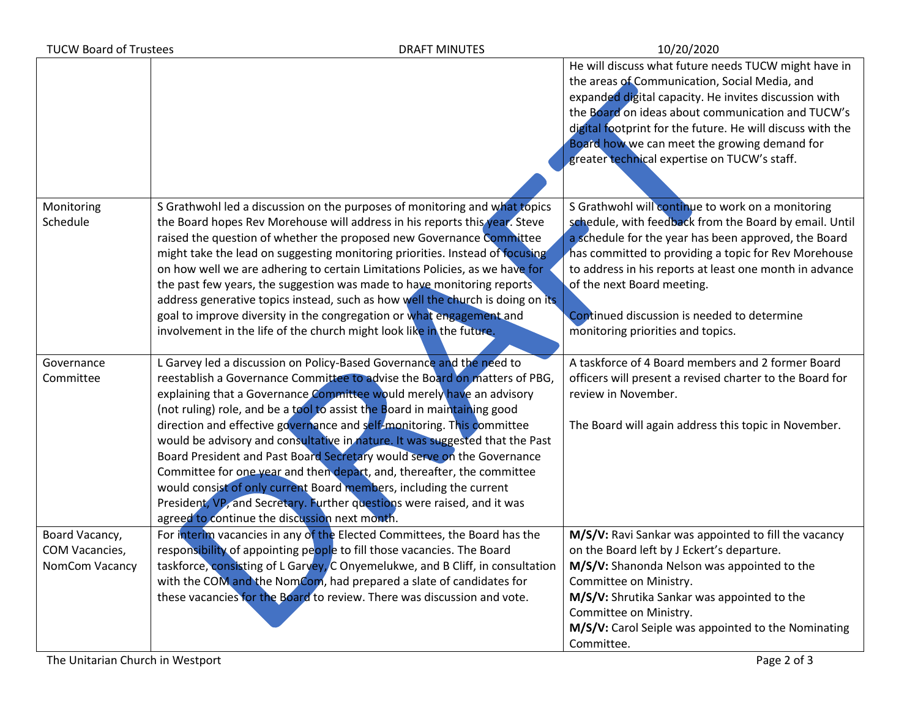| <b>TUCW Board of Trustees</b><br><b>DRAFT MINUTES</b> |                                                                                                                                                                                                                                                                                                                                                                                                                                                                                                                                                                                                                                                                                                                                                                                                                       | 10/20/2020                                                                                                                                                                                                                                                                                                                                                                                               |
|-------------------------------------------------------|-----------------------------------------------------------------------------------------------------------------------------------------------------------------------------------------------------------------------------------------------------------------------------------------------------------------------------------------------------------------------------------------------------------------------------------------------------------------------------------------------------------------------------------------------------------------------------------------------------------------------------------------------------------------------------------------------------------------------------------------------------------------------------------------------------------------------|----------------------------------------------------------------------------------------------------------------------------------------------------------------------------------------------------------------------------------------------------------------------------------------------------------------------------------------------------------------------------------------------------------|
|                                                       |                                                                                                                                                                                                                                                                                                                                                                                                                                                                                                                                                                                                                                                                                                                                                                                                                       | He will discuss what future needs TUCW might have in<br>the areas of Communication, Social Media, and<br>expanded digital capacity. He invites discussion with<br>the Board on ideas about communication and TUCW's<br>digital footprint for the future. He will discuss with the<br>Board how we can meet the growing demand for<br>greater technical expertise on TUCW's staff.                        |
| Monitoring<br>Schedule                                | S Grathwohl led a discussion on the purposes of monitoring and what topics<br>the Board hopes Rev Morehouse will address in his reports this year. Steve<br>raised the question of whether the proposed new Governance Committee<br>might take the lead on suggesting monitoring priorities. Instead of focusing<br>on how well we are adhering to certain Limitations Policies, as we have for<br>the past few years, the suggestion was made to have monitoring reports<br>address generative topics instead, such as how well the church is doing on its<br>goal to improve diversity in the congregation or what engagement and<br>involvement in the life of the church might look like in the future.                                                                                                           | S Grathwohl will continue to work on a monitoring<br>schedule, with feedback from the Board by email. Until<br>a schedule for the year has been approved, the Board<br>has committed to providing a topic for Rev Morehouse<br>to address in his reports at least one month in advance<br>of the next Board meeting.<br>Continued discussion is needed to determine<br>monitoring priorities and topics. |
| Governance<br>Committee                               | L Garvey led a discussion on Policy-Based Governance and the need to<br>reestablish a Governance Committee to advise the Board on matters of PBG,<br>explaining that a Governance Committee would merely have an advisory<br>(not ruling) role, and be a tool to assist the Board in maintaining good<br>direction and effective governance and self-monitoring. This committee<br>would be advisory and consultative in nature. It was suggested that the Past<br>Board President and Past Board Secretary would serve on the Governance<br>Committee for one year and then depart, and, thereafter, the committee<br>would consist of only current Board members, including the current<br>President, VP, and Secretary. Further questions were raised, and it was<br>agreed to continue the discussion next month. | A taskforce of 4 Board members and 2 former Board<br>officers will present a revised charter to the Board for<br>review in November.<br>The Board will again address this topic in November.                                                                                                                                                                                                             |
| Board Vacancy,<br>COM Vacancies,<br>NomCom Vacancy    | For interim vacancies in any of the Elected Committees, the Board has the<br>responsibility of appointing people to fill those vacancies. The Board<br>taskforce, consisting of L Garvey, C Onyemelukwe, and B Cliff, in consultation<br>with the COM and the NomCom, had prepared a slate of candidates for<br>these vacancies for the Board to review. There was discussion and vote.                                                                                                                                                                                                                                                                                                                                                                                                                               | M/S/V: Ravi Sankar was appointed to fill the vacancy<br>on the Board left by J Eckert's departure.<br>M/S/V: Shanonda Nelson was appointed to the<br>Committee on Ministry.<br>M/S/V: Shrutika Sankar was appointed to the<br>Committee on Ministry.<br>M/S/V: Carol Seiple was appointed to the Nominating<br>Committee.                                                                                |